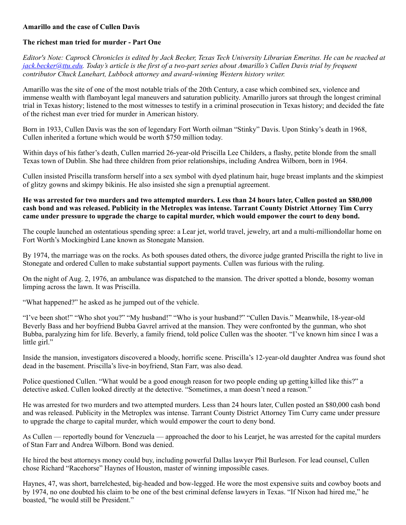## **Amarillo and the case of Cullen Davis**

## **The richest man tried for murder - Part One**

*Editor's Note: Caprock Chronicles is edited by Jack Becker, Texas Tech University Librarian Emeritus. He can be reached at [jack.becker@ttu.edu.](mailto:jack.becker@ttu.edu) Today's article is the first of a two-part series about Amarillo's Cullen Davis trial by frequent contributor Chuck Lanehart, Lubbock attorney and award-winning Western history writer.*

Amarillo was the site of one of the most notable trials of the 20th Century, a case which combined sex, violence and immense wealth with flamboyant legal maneuvers and saturation publicity. Amarillo jurors sat through the longest criminal trial in Texas history; listened to the most witnesses to testify in a criminal prosecution in Texas history; and decided the fate of the richest man ever tried for murder in American history.

Born in 1933, Cullen Davis was the son of legendary Fort Worth oilman "Stinky" Davis. Upon Stinky's death in 1968, Cullen inherited a fortune which would be worth \$750 million today.

Within days of his father's death, Cullen married 26-year-old Priscilla Lee Childers, a flashy, petite blonde from the small Texas town of Dublin. She had three children from prior relationships, including Andrea Wilborn, born in 1964.

Cullen insisted Priscilla transform herself into a sex symbol with dyed platinum hair, huge breast implants and the skimpiest of glitzy gowns and skimpy bikinis. He also insisted she sign a prenuptial agreement.

## **He was arrested for two murders and two attempted murders. Less than 24 hours later, Cullen posted an \$80,000 cash bond and was released. Publicity in the Metroplex was intense. Tarrant County District Attorney Tim Curry came under pressure to upgrade the charge to capital murder, which would empower the court to deny bond.**

The couple launched an ostentatious spending spree: a Lear jet, world travel, jewelry, art and a multi-milliondollar home on Fort Worth's Mockingbird Lane known as Stonegate Mansion.

By 1974, the marriage was on the rocks. As both spouses dated others, the divorce judge granted Priscilla the right to live in Stonegate and ordered Cullen to make substantial support payments. Cullen was furious with the ruling.

On the night of Aug. 2, 1976, an ambulance was dispatched to the mansion. The driver spotted a blonde, bosomy woman limping across the lawn. It was Priscilla.

"What happened?" he asked as he jumped out of the vehicle.

"I've been shot!" "Who shot you?" "My husband!" "Who is your husband?" "Cullen Davis." Meanwhile, 18-year-old Beverly Bass and her boyfriend Bubba Gavrel arrived at the mansion. They were confronted by the gunman, who shot Bubba, paralyzing him for life. Beverly, a family friend, told police Cullen was the shooter. "I've known him since I was a little girl."

Inside the mansion, investigators discovered a bloody, horrific scene. Priscilla's 12-year-old daughter Andrea was found shot dead in the basement. Priscilla's live-in boyfriend, Stan Farr, was also dead.

Police questioned Cullen. "What would be a good enough reason for two people ending up getting killed like this?" a detective asked. Cullen looked directly at the detective. "Sometimes, a man doesn't need a reason."

He was arrested for two murders and two attempted murders. Less than 24 hours later, Cullen posted an \$80,000 cash bond and was released. Publicity in the Metroplex was intense. Tarrant County District Attorney Tim Curry came under pressure to upgrade the charge to capital murder, which would empower the court to deny bond.

As Cullen — reportedly bound for Venezuela — approached the door to his Learjet, he was arrested for the capital murders of Stan Farr and Andrea Wilborn. Bond was denied.

He hired the best attorneys money could buy, including powerful Dallas lawyer Phil Burleson. For lead counsel, Cullen chose Richard "Racehorse" Haynes of Houston, master of winning impossible cases.

Haynes, 47, was short, barrelchested, big-headed and bow-legged. He wore the most expensive suits and cowboy boots and by 1974, no one doubted his claim to be one of the best criminal defense lawyers in Texas. "If Nixon had hired me," he boasted, "he would still be President."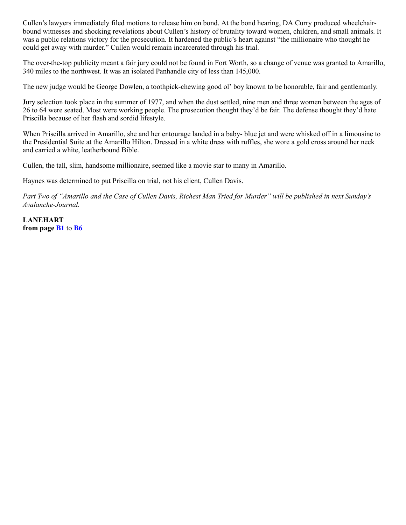Cullen's lawyers immediately filed motions to release him on bond. At the bond hearing, DA Curry produced wheelchairbound witnesses and shocking revelations about Cullen's history of brutality toward women, children, and small animals. It was a public relations victory for the prosecution. It hardened the public's heart against "the millionaire who thought he could get away with murder." Cullen would remain incarcerated through his trial.

The over-the-top publicity meant a fair jury could not be found in Fort Worth, so a change of venue was granted to Amarillo, 340 miles to the northwest. It was an isolated Panhandle city of less than 145,000.

The new judge would be George Dowlen, a toothpick-chewing good ol' boy known to be honorable, fair and gentlemanly.

Jury selection took place in the summer of 1977, and when the dust settled, nine men and three women between the ages of 26 to 64 were seated. Most were working people. The prosecution thought they'd be fair. The defense thought they'd hate Priscilla because of her flash and sordid lifestyle.

When Priscilla arrived in Amarillo, she and her entourage landed in a baby- blue jet and were whisked off in a limousine to the Presidential Suite at the Amarillo Hilton. Dressed in a white dress with ruffles, she wore a gold cross around her neck and carried a white, leatherbound Bible.

Cullen, the tall, slim, handsome millionaire, seemed like a movie star to many in Amarillo.

Haynes was determined to put Priscilla on trial, not his client, Cullen Davis.

*Part Two of "Amarillo and the Case of Cullen Davis, Richest Man Tried for Murder" will be published in next Sunday's Avalanche-Journal.*

**LANEHART from page [B1](javascript:scrollpageToContinue()** to **[B6](javascript:scrollpageToContinue()**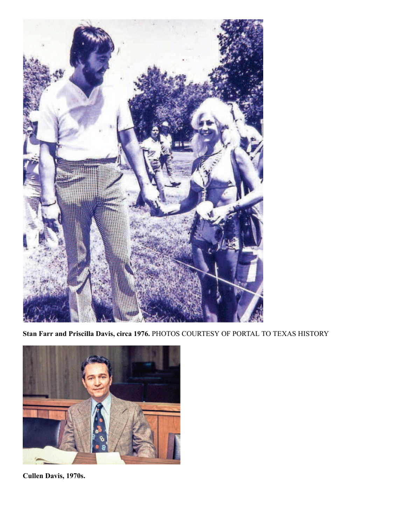

**Stan Farr and Priscilla Davis, circa 1976.** PHOTOS COURTESY OF PORTAL TO TEXAS HISTORY



**Cullen Davis, 1970s.**